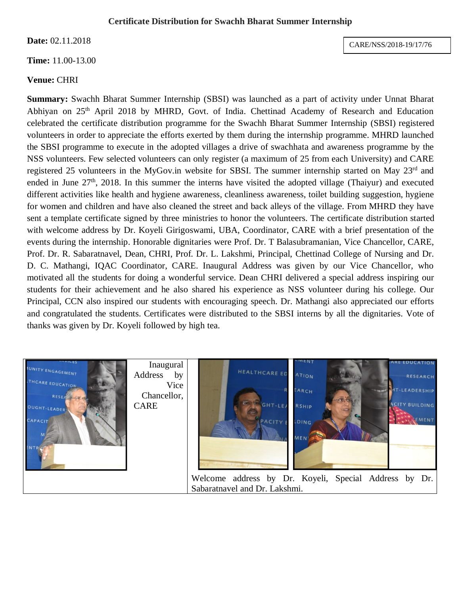## **Date:** 02.11.2018

**Time:** 11.00-13.00

## **Venue:** CHRI

**Certificate Distribution for Swachh Bharat Summer Internship**

**Summary:** Swachh Bharat Summer Internship (SBSI) was launched as a part of activity under Unnat Bharat Abhiyan on 25th April 2018 by MHRD, Govt. of India. Chettinad Academy of Research and Education celebrated the certificate distribution programme for the Swachh Bharat Summer Internship (SBSI) registered volunteers in order to appreciate the efforts exerted by them during the internship programme. MHRD launched the SBSI programme to execute in the adopted villages a drive of swachhata and awareness programme by the NSS volunteers. Few selected volunteers can only register (a maximum of 25 from each University) and CARE registered 25 volunteers in the MyGov.in website for SBSI. The summer internship started on May 23rd and ended in June 27<sup>th</sup>, 2018. In this summer the interns have visited the adopted village (Thaiyur) and executed different activities like health and hygiene awareness, cleanliness awareness, toilet building suggestion, hygiene for women and children and have also cleaned the street and back alleys of the village. From MHRD they have sent a template certificate signed by three ministries to honor the volunteers. The certificate distribution started with welcome address by Dr. Koyeli Girigoswami, UBA, Coordinator, CARE with a brief presentation of the events during the internship. Honorable dignitaries were Prof. Dr. T Balasubramanian, Vice Chancellor, CARE, Prof. Dr. R. Sabaratnavel, Dean, CHRI, Prof. Dr. L. Lakshmi, Principal, Chettinad College of Nursing and Dr. D. C. Mathangi, IQAC Coordinator, CARE. Inaugural Address was given by our Vice Chancellor, who motivated all the students for doing a wonderful service. Dean CHRI delivered a special address inspiring our students for their achievement and he also shared his experience as NSS volunteer during his college. Our Principal, CCN also inspired our students with encouraging speech. Dr. Mathangi also appreciated our efforts and congratulated the students. Certificates were distributed to the SBSI interns by all the dignitaries. Vote of thanks was given by Dr. Koyeli followed by high tea.



CARE/NSS/2018-19/17/76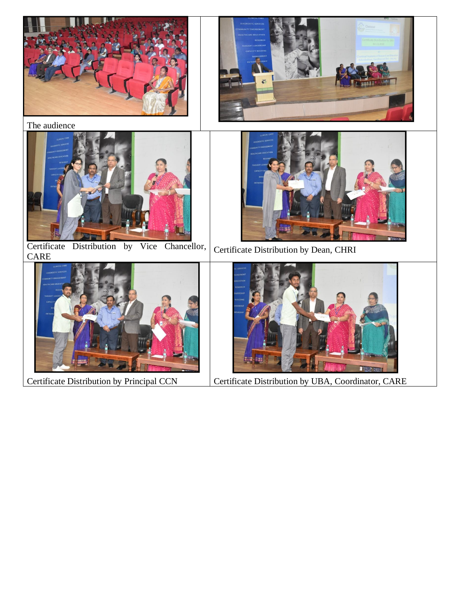